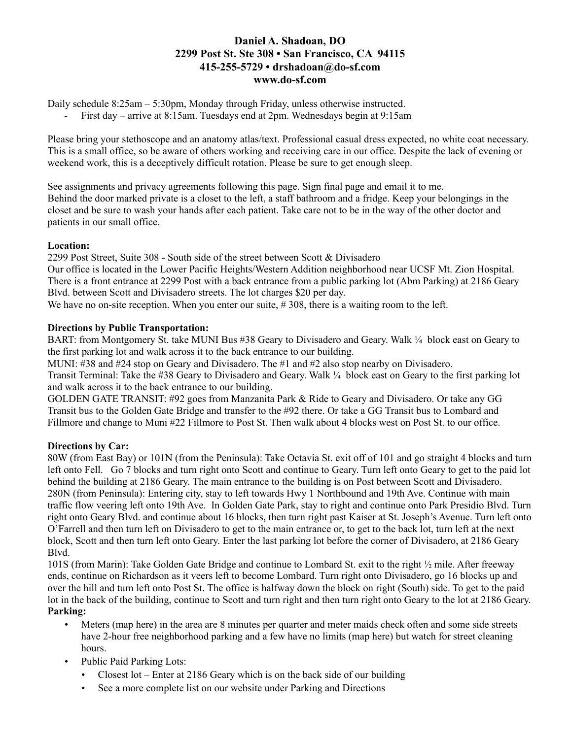# **Daniel A. Shadoan, DO 2299 Post St. Ste 308 • San Francisco, CA 94115 415-255-5729 • drshadoan@do-sf.com www.do-sf.com**

Daily schedule 8:25am – 5:30pm, Monday through Friday, unless otherwise instructed.

First day – arrive at 8:15am. Tuesdays end at 2pm. Wednesdays begin at 9:15am

Please bring your stethoscope and an anatomy atlas/text. Professional casual dress expected, no white coat necessary. This is a small office, so be aware of others working and receiving care in our office. Despite the lack of evening or weekend work, this is a deceptively difficult rotation. Please be sure to get enough sleep.

See assignments and privacy agreements following this page. Sign final page and email it to me. Behind the door marked private is a closet to the left, a staff bathroom and a fridge. Keep your belongings in the closet and be sure to wash your hands after each patient. Take care not to be in the way of the other doctor and patients in our small office.

### **Location:**

2299 Post Street, Suite 308 - South side of the street between Scott & Divisadero Our office is located in the Lower Pacific Heights/Western Addition neighborhood near UCSF Mt. Zion Hospital. There is a front entrance at 2299 Post with a back entrance from a public parking lot (Abm Parking) at 2186 Geary Blvd. between Scott and Divisadero streets. The lot charges \$20 per day.

We have no on-site reception. When you enter our suite, #308, there is a waiting room to the left.

### **Directions by Public Transportation:**

BART: from Montgomery St. take MUNI Bus #38 Geary to Divisadero and Geary. Walk ¼ block east on Geary to the first parking lot and walk across it to the back entrance to our building.

MUNI: #38 and #24 stop on Geary and Divisadero. The #1 and #2 also stop nearby on Divisadero.

Transit Terminal: Take the #38 Geary to Divisadero and Geary. Walk ¼ block east on Geary to the first parking lot and walk across it to the back entrance to our building.

GOLDEN GATE TRANSIT: #92 goes from Manzanita Park & Ride to Geary and Divisadero. Or take any GG Transit bus to the Golden Gate Bridge and transfer to the #92 there. Or take a GG Transit bus to Lombard and Fillmore and change to Muni #22 Fillmore to Post St. Then walk about 4 blocks west on Post St. to our office.

### **Directions by Car:**

80W (from East Bay) or 101N (from the Peninsula): Take Octavia St. exit off of 101 and go straight 4 blocks and turn left onto Fell. Go 7 blocks and turn right onto Scott and continue to Geary. Turn left onto Geary to get to the paid lot behind the building at 2186 Geary. The main entrance to the building is on Post between Scott and Divisadero. 280N (from Peninsula): Entering city, stay to left towards Hwy 1 Northbound and 19th Ave. Continue with main traffic flow veering left onto 19th Ave. In Golden Gate Park, stay to right and continue onto Park Presidio Blvd. Turn right onto Geary Blvd. and continue about 16 blocks, then turn right past Kaiser at St. Joseph's Avenue. Turn left onto O'Farrell and then turn left on Divisadero to get to the main entrance or, to get to the back lot, turn left at the next block, Scott and then turn left onto Geary. Enter the last parking lot before the corner of Divisadero, at 2186 Geary Blvd.

101S (from Marin): Take Golden Gate Bridge and continue to Lombard St. exit to the right ½ mile. After freeway ends, continue on Richardson as it veers left to become Lombard. Turn right onto Divisadero, go 16 blocks up and over the hill and turn left onto Post St. The office is halfway down the block on right (South) side. To get to the paid lot in the back of the building, continue to Scott and turn right and then turn right onto Geary to the lot at 2186 Geary. **Parking:**

- Meters (map here) in the area are 8 minutes per quarter and meter maids check often and some side streets have 2-hour free neighborhood parking and a few have no limits (map here) but watch for street cleaning hours.
- Public Paid Parking Lots:
	- Closest lot Enter at 2186 Geary which is on the back side of our building
	- See a more complete list on our website under Parking and Directions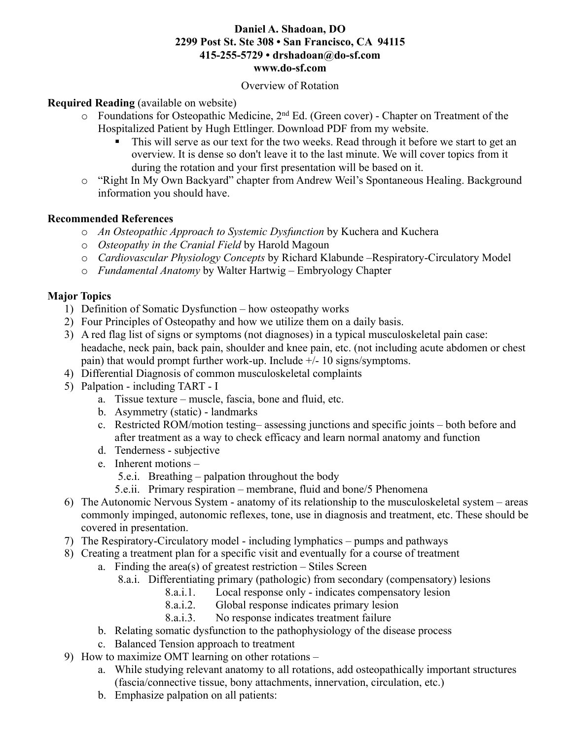### **Daniel A. Shadoan, DO 2299 Post St. Ste 308 • San Francisco, CA 94115 415-255-5729 • drshadoan@do-sf.com www.do-sf.com**

#### Overview of Rotation

### **Required Reading** (available on website)

- $\circ$  Foundations for Osteopathic Medicine, 2<sup>nd</sup> Ed. (Green cover) Chapter on Treatment of the Hospitalized Patient by Hugh Ettlinger. Download PDF from my website.
	- This will serve as our text for the two weeks. Read through it before we start to get an overview. It is dense so don't leave it to the last minute. We will cover topics from it during the rotation and your first presentation will be based on it.
- o "Right In My Own Backyard" chapter from Andrew Weil's Spontaneous Healing. Background information you should have.

### **Recommended References**

- o *An Osteopathic Approach to Systemic Dysfunction* by Kuchera and Kuchera
- o *Osteopathy in the Cranial Field* by Harold Magoun
- o *Cardiovascular Physiology Concepts* by Richard Klabunde –Respiratory-Circulatory Model
- o *Fundamental Anatomy* by Walter Hartwig Embryology Chapter

# **Major Topics**

- 1) Definition of Somatic Dysfunction how osteopathy works
- 2) Four Principles of Osteopathy and how we utilize them on a daily basis.
- 3) A red flag list of signs or symptoms (not diagnoses) in a typical musculoskeletal pain case: headache, neck pain, back pain, shoulder and knee pain, etc. (not including acute abdomen or chest pain) that would prompt further work-up. Include +/- 10 signs/symptoms.
- 4) Differential Diagnosis of common musculoskeletal complaints
- 5) Palpation including TART I
	- a. Tissue texture muscle, fascia, bone and fluid, etc.
	- b. Asymmetry (static) landmarks
	- c. Restricted ROM/motion testing– assessing junctions and specific joints both before and after treatment as a way to check efficacy and learn normal anatomy and function
	- d. Tenderness subjective
	- e. Inherent motions
		- 5.e.i. Breathing palpation throughout the body
		- 5.e.ii. Primary respiration membrane, fluid and bone/5 Phenomena
- 6) The Autonomic Nervous System anatomy of its relationship to the musculoskeletal system areas commonly impinged, autonomic reflexes, tone, use in diagnosis and treatment, etc. These should be covered in presentation.
- 7) The Respiratory-Circulatory model including lymphatics pumps and pathways
- 8) Creating a treatment plan for a specific visit and eventually for a course of treatment
	- a. Finding the area(s) of greatest restriction  $-$  Stiles Screen
		- 8.a.i. Differentiating primary (pathologic) from secondary (compensatory) lesions
			- 8.a.i.1. Local response only indicates compensatory lesion
			- 8.a.i.2. Global response indicates primary lesion
			- 8.a.i.3. No response indicates treatment failure
	- b. Relating somatic dysfunction to the pathophysiology of the disease process
	- c. Balanced Tension approach to treatment
- 9) How to maximize OMT learning on other rotations
	- a. While studying relevant anatomy to all rotations, add osteopathically important structures (fascia/connective tissue, bony attachments, innervation, circulation, etc.)
	- b. Emphasize palpation on all patients: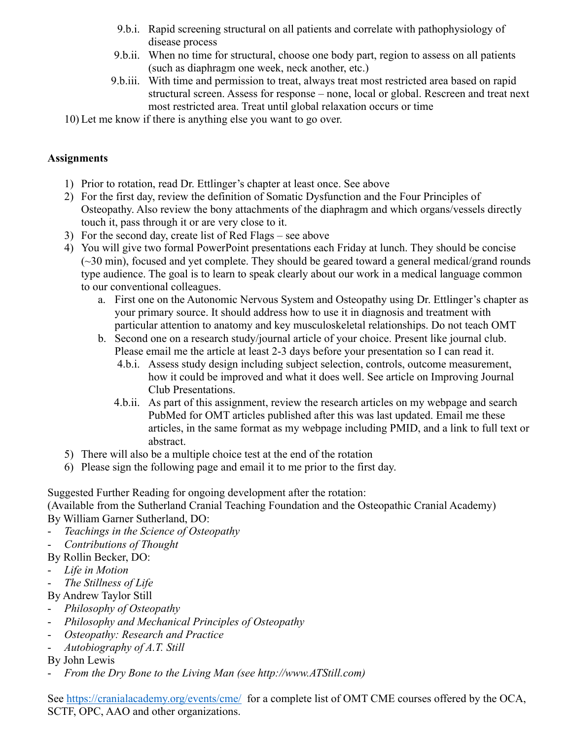- 9.b.i. Rapid screening structural on all patients and correlate with pathophysiology of disease process
- 9.b.ii. When no time for structural, choose one body part, region to assess on all patients (such as diaphragm one week, neck another, etc.)
- 9.b.iii. With time and permission to treat, always treat most restricted area based on rapid structural screen. Assess for response – none, local or global. Rescreen and treat next most restricted area. Treat until global relaxation occurs or time
- 10) Let me know if there is anything else you want to go over.

# **Assignments**

- 1) Prior to rotation, read Dr. Ettlinger's chapter at least once. See above
- 2) For the first day, review the definition of Somatic Dysfunction and the Four Principles of Osteopathy. Also review the bony attachments of the diaphragm and which organs/vessels directly touch it, pass through it or are very close to it.
- 3) For the second day, create list of Red Flags see above
- 4) You will give two formal PowerPoint presentations each Friday at lunch. They should be concise  $(\sim 30 \text{ min})$ , focused and yet complete. They should be geared toward a general medical/grand rounds type audience. The goal is to learn to speak clearly about our work in a medical language common to our conventional colleagues.
	- a. First one on the Autonomic Nervous System and Osteopathy using Dr. Ettlinger's chapter as your primary source. It should address how to use it in diagnosis and treatment with particular attention to anatomy and key musculoskeletal relationships. Do not teach OMT
	- b. Second one on a research study/journal article of your choice. Present like journal club. Please email me the article at least 2-3 days before your presentation so I can read it.
		- 4.b.i. Assess study design including subject selection, controls, outcome measurement, how it could be improved and what it does well. See article on Improving Journal Club Presentations.
		- 4.b.ii. As part of this assignment, review the research articles on my webpage and search PubMed for OMT articles published after this was last updated. Email me these articles, in the same format as my webpage including PMID, and a link to full text or abstract.
- 5) There will also be a multiple choice test at the end of the rotation
- 6) Please sign the following page and email it to me prior to the first day.

Suggested Further Reading for ongoing development after the rotation:

(Available from the Sutherland Cranial Teaching Foundation and the Osteopathic Cranial Academy) By William Garner Sutherland, DO:

- *Teachings in the Science of Osteopathy*
- *Contributions of Thought*
- By Rollin Becker, DO:
- *Life in Motion*
- *The Stillness of Life*
- By Andrew Taylor Still
- *Philosophy of Osteopathy*
- *Philosophy and Mechanical Principles of Osteopathy*
- *Osteopathy: Research and Practice*
- *Autobiography of A.T. Still*

By John Lewis

- *From the Dry Bone to the Living Man (see http://www.ATStill.com)*

See https://cranialacademy.org/events/cme/ for a complete list of OMT CME courses offered by the OCA, SCTF, OPC, AAO and other organizations.